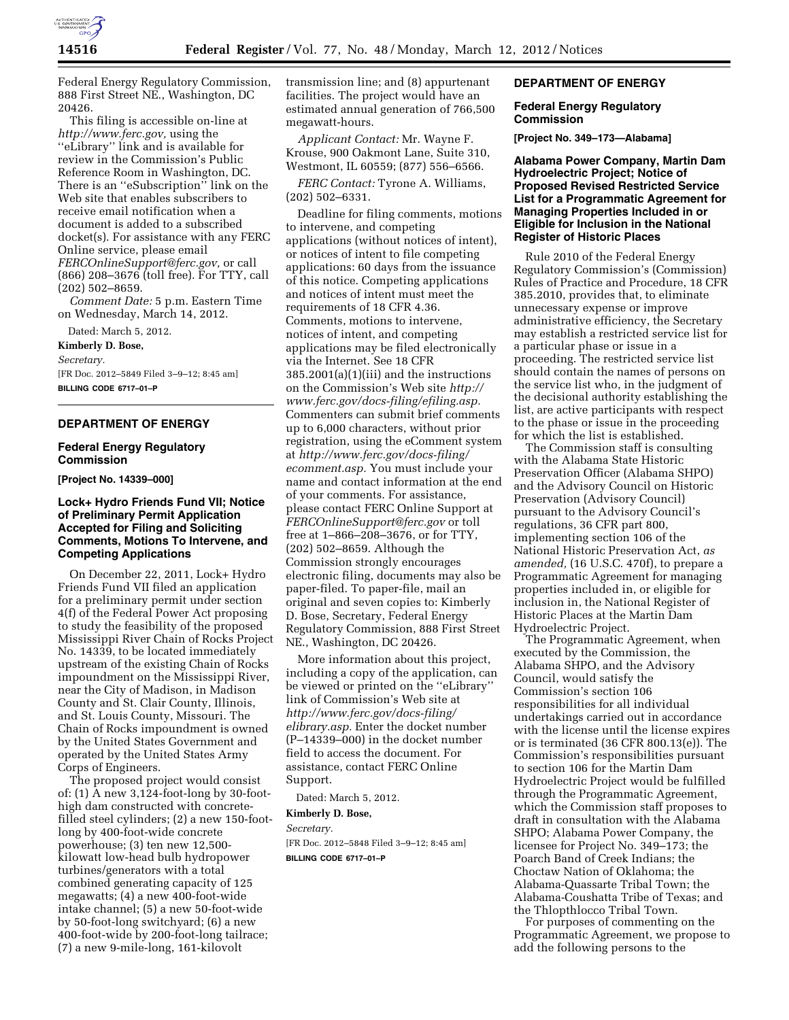

Federal Energy Regulatory Commission, 888 First Street NE., Washington, DC 20426.

This filing is accessible on-line at *[http://www.ferc.gov,](http://www.ferc.gov)* using the ''eLibrary'' link and is available for review in the Commission's Public Reference Room in Washington, DC. There is an ''eSubscription'' link on the Web site that enables subscribers to receive email notification when a document is added to a subscribed docket(s). For assistance with any FERC Online service, please email *[FERCOnlineSupport@ferc.gov,](mailto:FERCOnlineSupport@ferc.gov)* or call (866) 208–3676 (toll free). For TTY, call (202) 502–8659.

*Comment Date:* 5 p.m. Eastern Time on Wednesday, March 14, 2012.

Dated: March 5, 2012.

**Kimberly D. Bose,**  *Secretary.*  [FR Doc. 2012–5849 Filed 3–9–12; 8:45 am] **BILLING CODE 6717–01–P** 

#### **DEPARTMENT OF ENERGY**

#### **Federal Energy Regulatory Commission**

**[Project No. 14339–000]** 

## **Lock+ Hydro Friends Fund VII; Notice of Preliminary Permit Application Accepted for Filing and Soliciting Comments, Motions To Intervene, and Competing Applications**

On December 22, 2011, Lock+ Hydro Friends Fund VII filed an application for a preliminary permit under section 4(f) of the Federal Power Act proposing to study the feasibility of the proposed Mississippi River Chain of Rocks Project No. 14339, to be located immediately upstream of the existing Chain of Rocks impoundment on the Mississippi River, near the City of Madison, in Madison County and St. Clair County, Illinois, and St. Louis County, Missouri. The Chain of Rocks impoundment is owned by the United States Government and operated by the United States Army Corps of Engineers.

The proposed project would consist of: (1) A new 3,124-foot-long by 30-foothigh dam constructed with concretefilled steel cylinders; (2) a new 150-footlong by 400-foot-wide concrete powerhouse; (3) ten new 12,500 kilowatt low-head bulb hydropower turbines/generators with a total combined generating capacity of 125 megawatts; (4) a new 400-foot-wide intake channel; (5) a new 50-foot-wide by 50-foot-long switchyard; (6) a new 400-foot-wide by 200-foot-long tailrace; (7) a new 9-mile-long, 161-kilovolt

transmission line; and (8) appurtenant facilities. The project would have an estimated annual generation of 766,500 megawatt-hours.

*Applicant Contact:* Mr. Wayne F. Krouse, 900 Oakmont Lane, Suite 310, Westmont, IL 60559; (877) 556–6566.

*FERC Contact:* Tyrone A. Williams, (202) 502–6331.

Deadline for filing comments, motions to intervene, and competing applications (without notices of intent), or notices of intent to file competing applications: 60 days from the issuance of this notice. Competing applications and notices of intent must meet the requirements of 18 CFR 4.36. Comments, motions to intervene, notices of intent, and competing applications may be filed electronically via the Internet. See 18 CFR 385.2001(a)(1)(iii) and the instructions on the Commission's Web site *[http://](http://www.ferc.gov/docs-filing/efiling.asp) [www.ferc.gov/docs-filing/efiling.asp.](http://www.ferc.gov/docs-filing/efiling.asp)*  Commenters can submit brief comments up to 6,000 characters, without prior registration, using the eComment system at *[http://www.ferc.gov/docs-filing/](http://www.ferc.gov/docs-filing/ecomment.asp) [ecomment.asp.](http://www.ferc.gov/docs-filing/ecomment.asp)* You must include your name and contact information at the end of your comments. For assistance, please contact FERC Online Support at *[FERCOnlineSupport@ferc.gov](mailto:FERCOnlineSupport@ferc.gov)* or toll free at 1–866–208–3676, or for TTY, (202) 502–8659. Although the Commission strongly encourages electronic filing, documents may also be paper-filed. To paper-file, mail an original and seven copies to: Kimberly D. Bose, Secretary, Federal Energy Regulatory Commission, 888 First Street NE., Washington, DC 20426.

More information about this project, including a copy of the application, can be viewed or printed on the ''eLibrary'' link of Commission's Web site at *[http://www.ferc.gov/docs-filing/](http://www.ferc.gov/docs-filing/elibrary.asp) [elibrary.asp.](http://www.ferc.gov/docs-filing/elibrary.asp)* Enter the docket number (P–14339–000) in the docket number field to access the document. For assistance, contact FERC Online Support.

Dated: March 5, 2012.

#### **Kimberly D. Bose,**

*Secretary.* 

[FR Doc. 2012–5848 Filed 3–9–12; 8:45 am] **BILLING CODE 6717–01–P** 

## **DEPARTMENT OF ENERGY**

#### **Federal Energy Regulatory Commission**

**[Project No. 349–173—Alabama]** 

### **Alabama Power Company, Martin Dam Hydroelectric Project; Notice of Proposed Revised Restricted Service List for a Programmatic Agreement for Managing Properties Included in or Eligible for Inclusion in the National Register of Historic Places**

Rule 2010 of the Federal Energy Regulatory Commission's (Commission) Rules of Practice and Procedure, 18 CFR 385.2010, provides that, to eliminate unnecessary expense or improve administrative efficiency, the Secretary may establish a restricted service list for a particular phase or issue in a proceeding. The restricted service list should contain the names of persons on the service list who, in the judgment of the decisional authority establishing the list, are active participants with respect to the phase or issue in the proceeding for which the list is established.

The Commission staff is consulting with the Alabama State Historic Preservation Officer (Alabama SHPO) and the Advisory Council on Historic Preservation (Advisory Council) pursuant to the Advisory Council's regulations, 36 CFR part 800, implementing section 106 of the National Historic Preservation Act, *as amended,* (16 U.S.C. 470f), to prepare a Programmatic Agreement for managing properties included in, or eligible for inclusion in, the National Register of Historic Places at the Martin Dam Hydroelectric Project.

The Programmatic Agreement, when executed by the Commission, the Alabama SHPO, and the Advisory Council, would satisfy the Commission's section 106 responsibilities for all individual undertakings carried out in accordance with the license until the license expires or is terminated (36 CFR 800.13(e)). The Commission's responsibilities pursuant to section 106 for the Martin Dam Hydroelectric Project would be fulfilled through the Programmatic Agreement, which the Commission staff proposes to draft in consultation with the Alabama SHPO; Alabama Power Company, the licensee for Project No. 349–173; the Poarch Band of Creek Indians; the Choctaw Nation of Oklahoma; the Alabama-Quassarte Tribal Town; the Alabama-Coushatta Tribe of Texas; and the Thlopthlocco Tribal Town.

For purposes of commenting on the Programmatic Agreement, we propose to add the following persons to the